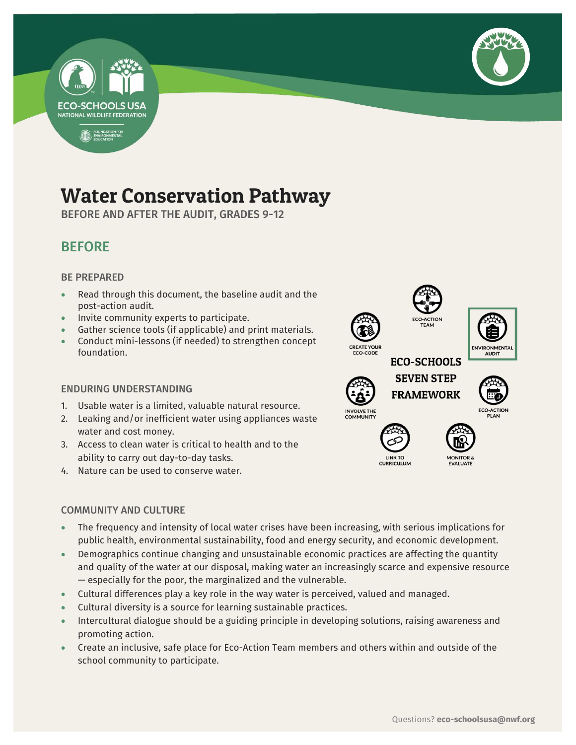



## Water Conservation Pathway

BEFORE AND AFTER THE AUDIT, GRADES 9-12



## BE PREPARED

- Read through this document, the baseline audit and the post-action audit.
- Invite community experts to participate.
- Gather science tools (if applicable) and print materials.
- Conduct mini-lessons (if needed) to strengthen concept foundation.

## ENDURING UNDERSTANDING

- 1. Usable water is a limited, valuable natural resource.
- 2. Leaking and/or inefficient water using appliances waste water and cost money.
- 3. Access to clean water is critical to health and to the ability to carry out day-to-day tasks.
- 4. Nature can be used to conserve water.

## COMMUNITY AND CULTURE

- **AUDIT ECO-SCHOOLS SEVEN STEP FRAMEWORK INVOLVE THE** 
	- **LINK TO CURRICULUM**



- The frequency and intensity of local water crises have been increasing, with serious implications for public health, environmental sustainability, food and energy security, and economic development.
- Demographics continue changing and unsustainable economic practices are affecting the quantity and quality of the water at our disposal, making water an increasingly scarce and expensive resource — especially for the poor, the marginalized and the vulnerable.
- Cultural differences play a key role in the way water is perceived, valued and managed.
- Cultural diversity is a source for learning sustainable practices.
- Intercultural dialogue should be a guiding principle in developing solutions, raising awareness and promoting action.
- Create an inclusive, safe place for Eco-Action Team members and others within and outside of the school community to participate.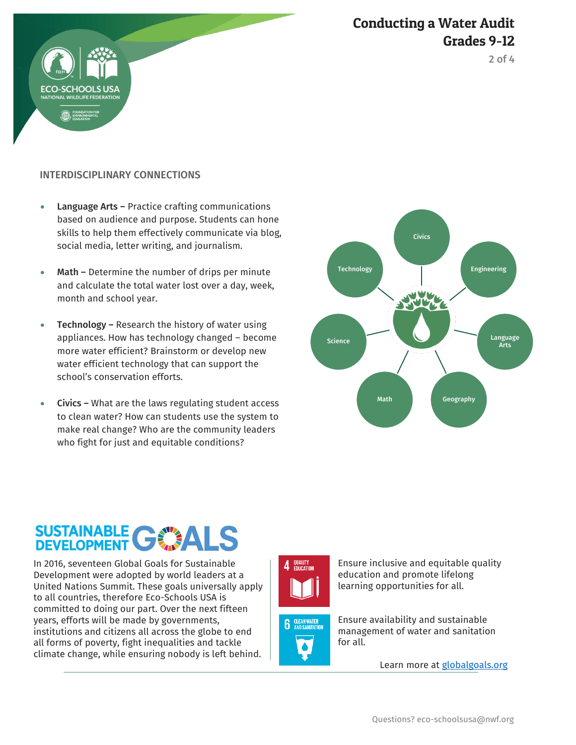## Conducting a Water Audit Grades 9-12



## INTERDISCIPLINARY CONNECTIONS

**RIOOL** 

- Language Arts Practice crafting communications based on audience and purpose. Students can hone skills to help them effectively communicate via blog, social media, letter writing, and journalism.
- Math Determine the number of drips per minute and calculate the total water lost over a day, week, month and school year.
- Technology Research the history of water using appliances. How has technology changed – become more water efficient? Brainstorm or develop new water efficient technology that can support the school's conservation efforts.
- Civics What are the laws regulating student access to clean water? How can students use the system to make real change? Who are the community leaders who fight for just and equitable conditions?



# SUSTAINABLE GWALS

In 2016, seventeen Global Goals for Sustainable Development were adopted by world leaders at a United Nations Summit. These goals universally apply to all countries, therefore Eco-Schools USA is committed to doing our part. Over the next fifteen years, efforts will be made by governments, institutions and citizens all across the globe to end all forms of poverty, fight inequalities and tackle climate change, while ensuring nobody is left behind.





Ensure inclusive and equitable quality education and promote lifelong learning opportunities for all.

Ensure availability and sustainable management of water and sanitation for all.

Learn more at [globalgoals.org](https://www.globalgoals.org/)

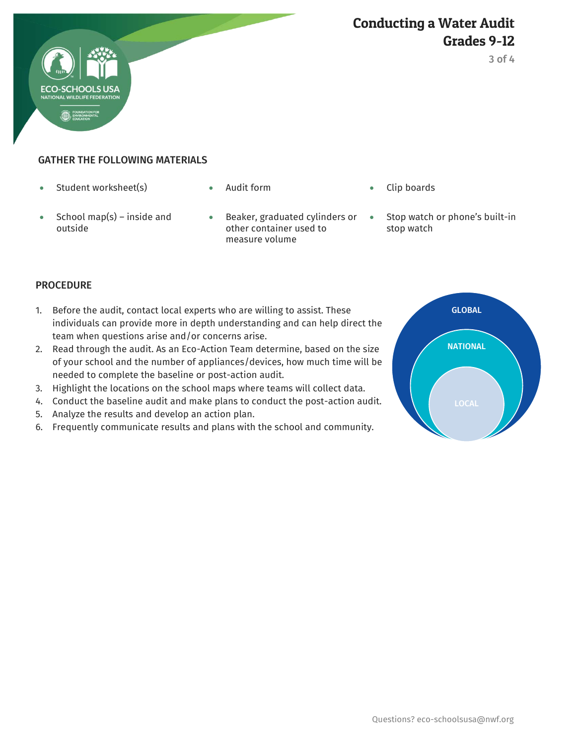



## GATHER THE FOLLOWING MATERIALS

• Student worksheet(s) Audit form Clip boards

**ECO-SCHOOLS** 

- 
- School map(s) inside and outside
- **Beaker, graduated cylinders or** other container used to measure volume
- - Stop watch or phone's built-in stop watch

## PROCEDURE

- 1. Before the audit, contact local experts who are willing to assist. These individuals can provide more in depth understanding and can help direct the team when questions arise and/or concerns arise.
- 2. Read through the audit. As an Eco-Action Team determine, based on the size of your school and the number of appliances/devices, how much time will be needed to complete the baseline or post-action audit.
- 3. Highlight the locations on the school maps where teams will collect data.
- 4. Conduct the baseline audit and make plans to conduct the post-action audit.
- 5. Analyze the results and develop an action plan.
- 6. Frequently communicate results and plans with the school and community.